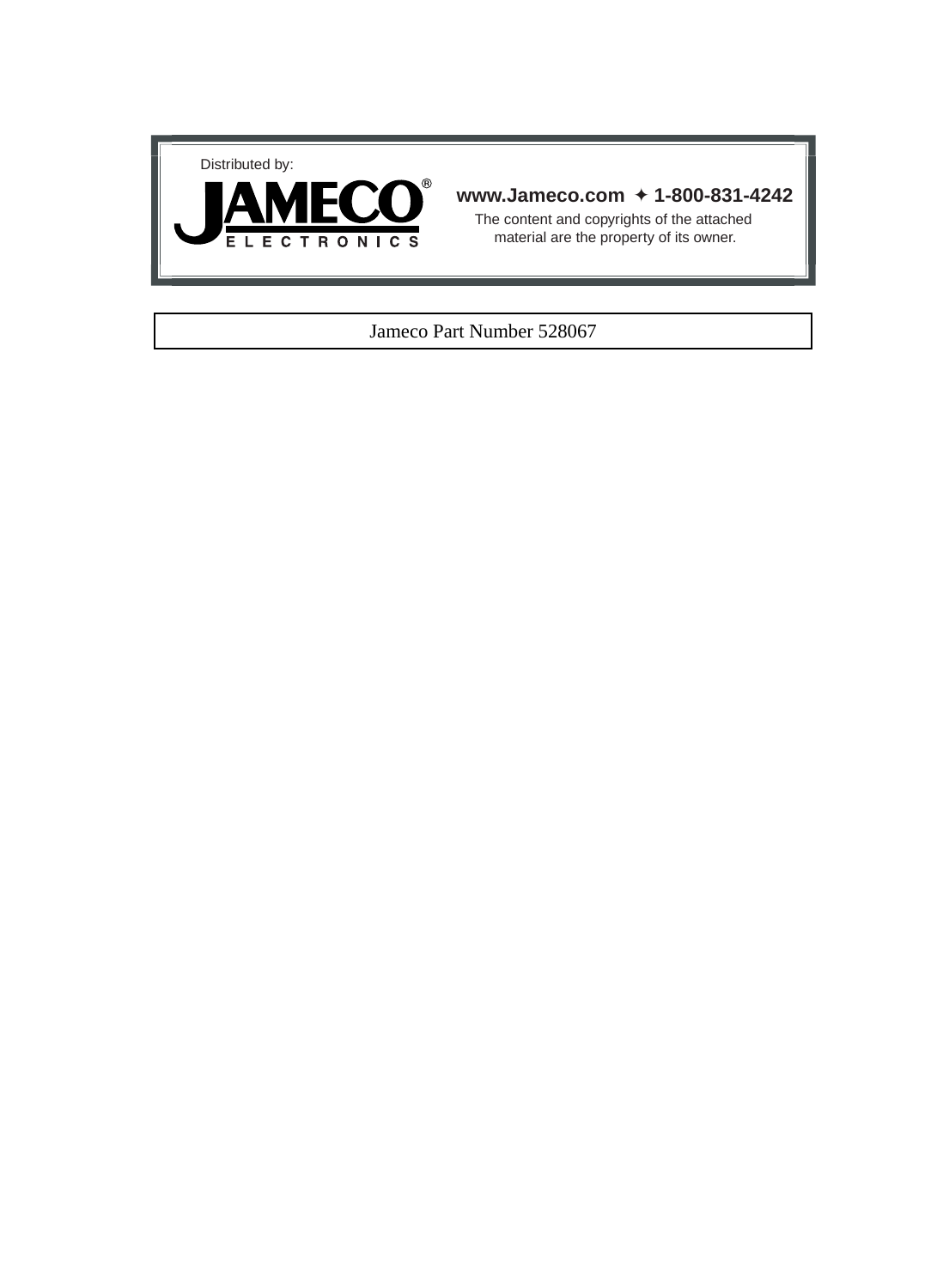



## **www.Jameco.com** ✦ **1-800-831-4242**

The content and copyrights of the attached material are the property of its owner.

### Jameco Part Number 528067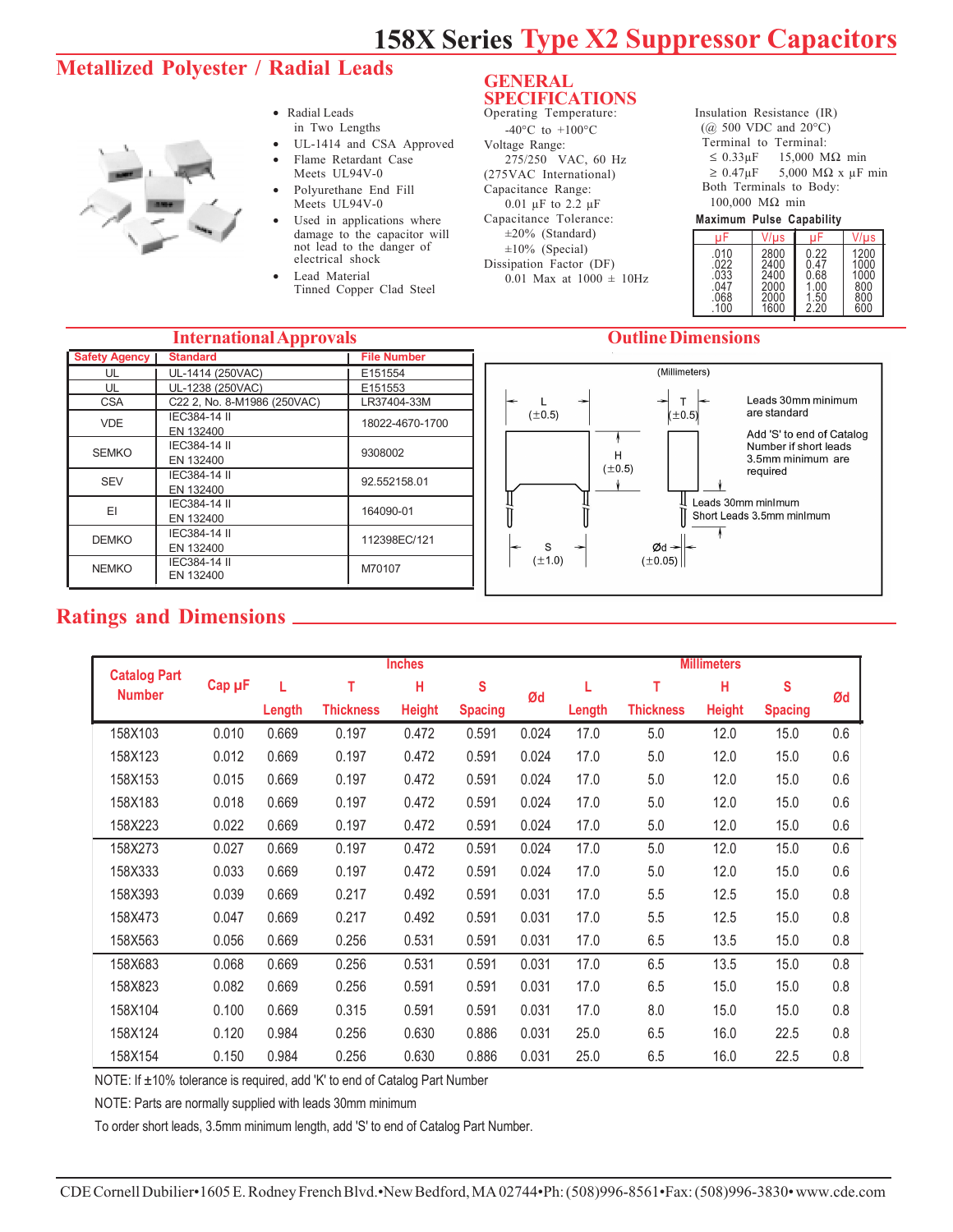# **158X Series Type X2 Suppressor Capacitors**

# **Metallized Polyester / Radial Leads**



- Radial Leads in Two Lengths
- UL-1414 and CSA Approved
- Flame Retardant Case Meets UL94V-0
- Polyurethane End Fill Meets UL94V-0
- Used in applications where damage to the capacitor will not lead to the danger of electrical shock
- Lead Material Tinned Copper Clad Steel

#### **GENERAL SPECIFICATIONS** Operating Temperature:

-40 $^{\circ}$ C to +100 $^{\circ}$ C Voltage Range: 275/250 VAC, 60 Hz (275VAC International) Capacitance Range: 0.01 µF to 2.2 µF Capacitance Tolerance: ±20% (Standard) ±10% (Special) Dissipation Factor (DF) 0.01 Max at  $1000 \pm 10$ Hz Insulation Resistance (IR)  $(Q\bar{Q})$  500 VDC and 20 $^{\circ}$ C) Terminal to Terminal:  $\leq$  0.33 $\mu$ F 15,000 M $\Omega$  min  $\geq 0.47 \mu F$  5,000 MΩ x  $\mu F$  min Both Terminals to Body: 100,000 MΩ min

#### **Maximum Pulse Capability**

|      | V/us |      | V/us |
|------|------|------|------|
| .010 | 2800 | 0.22 | 1200 |
| .022 | 2400 | .47  | 1000 |
| .033 | 2400 | 0.68 | 1000 |
| .047 | 2000 | .00  | 800  |
| .068 | 2000 | .50  | 800  |
| 100  | 1600 | 2.20 | 600  |

#### **International Approvals Outline Dimensions**

| P P + O T MAN        |                             |                    |  |  |  |  |  |  |
|----------------------|-----------------------------|--------------------|--|--|--|--|--|--|
| <b>Safety Agency</b> | <b>Standard</b>             | <b>File Number</b> |  |  |  |  |  |  |
| UL                   | UL-1414 (250VAC)            | E151554            |  |  |  |  |  |  |
| UL                   | UL-1238 (250VAC)            | E151553            |  |  |  |  |  |  |
| <b>CSA</b>           | C22 2, No. 8-M1986 (250VAC) | LR37404-33M        |  |  |  |  |  |  |
| VDE.                 | IEC384-14 II                | 18022-4670-1700    |  |  |  |  |  |  |
|                      | EN 132400                   |                    |  |  |  |  |  |  |
| <b>SEMKO</b>         | IEC384-14 II                | 9308002            |  |  |  |  |  |  |
|                      | EN 132400                   |                    |  |  |  |  |  |  |
| <b>SEV</b>           | IEC384-14 II                | 92.552158.01       |  |  |  |  |  |  |
|                      | EN 132400                   |                    |  |  |  |  |  |  |
| EI                   | IEC384-14 II                | 164090-01          |  |  |  |  |  |  |
|                      | EN 132400                   |                    |  |  |  |  |  |  |
| DEMKO                | IEC384-14 II                | 112398EC/121       |  |  |  |  |  |  |
|                      | EN 132400                   |                    |  |  |  |  |  |  |
| <b>NEMKO</b>         | IEC384-14 II                | M70107             |  |  |  |  |  |  |
|                      | EN 132400                   |                    |  |  |  |  |  |  |
|                      |                             |                    |  |  |  |  |  |  |



# **Ratings and Dimensions**

|                                      |        | <b>Inches</b> |                  |               |                |       | <b>Millimeters</b> |                  |               |                |     |
|--------------------------------------|--------|---------------|------------------|---------------|----------------|-------|--------------------|------------------|---------------|----------------|-----|
| <b>Catalog Part</b><br><b>Number</b> | Cap µF | L             | т                | н             | $\mathbf{s}$   | Ød    |                    | т                | Н             | S              | Ød  |
|                                      |        | Length        | <b>Thickness</b> | <b>Height</b> | <b>Spacing</b> |       | Length             | <b>Thickness</b> | <b>Height</b> | <b>Spacing</b> |     |
| 158X103                              | 0.010  | 0.669         | 0.197            | 0.472         | 0.591          | 0.024 | 17.0               | 5.0              | 12.0          | 15.0           | 0.6 |
| 158X123                              | 0.012  | 0.669         | 0.197            | 0.472         | 0.591          | 0.024 | 17.0               | 5.0              | 12.0          | 15.0           | 0.6 |
| 158X153                              | 0.015  | 0.669         | 0.197            | 0.472         | 0.591          | 0.024 | 17.0               | 5.0              | 12.0          | 15.0           | 0.6 |
| 158X183                              | 0.018  | 0.669         | 0.197            | 0.472         | 0.591          | 0.024 | 17.0               | 5.0              | 12.0          | 15.0           | 0.6 |
| 158X223                              | 0.022  | 0.669         | 0.197            | 0.472         | 0.591          | 0.024 | 17.0               | 5.0              | 12.0          | 15.0           | 0.6 |
| 158X273                              | 0.027  | 0.669         | 0.197            | 0.472         | 0.591          | 0.024 | 17.0               | 5.0              | 12.0          | 15.0           | 0.6 |
| 158X333                              | 0.033  | 0.669         | 0.197            | 0.472         | 0.591          | 0.024 | 17.0               | 5.0              | 12.0          | 15.0           | 0.6 |
| 158X393                              | 0.039  | 0.669         | 0.217            | 0.492         | 0.591          | 0.031 | 17.0               | 5.5              | 12.5          | 15.0           | 0.8 |
| 158X473                              | 0.047  | 0.669         | 0.217            | 0.492         | 0.591          | 0.031 | 17.0               | 5.5              | 12.5          | 15.0           | 0.8 |
| 158X563                              | 0.056  | 0.669         | 0.256            | 0.531         | 0.591          | 0.031 | 17.0               | 6.5              | 13.5          | 15.0           | 0.8 |
| 158X683                              | 0.068  | 0.669         | 0.256            | 0.531         | 0.591          | 0.031 | 17.0               | 6.5              | 13.5          | 15.0           | 0.8 |
| 158X823                              | 0.082  | 0.669         | 0.256            | 0.591         | 0.591          | 0.031 | 17.0               | 6.5              | 15.0          | 15.0           | 0.8 |
| 158X104                              | 0.100  | 0.669         | 0.315            | 0.591         | 0.591          | 0.031 | 17.0               | 8.0              | 15.0          | 15.0           | 0.8 |
| 158X124                              | 0.120  | 0.984         | 0.256            | 0.630         | 0.886          | 0.031 | 25.0               | 6.5              | 16.0          | 22.5           | 0.8 |
| 158X154                              | 0.150  | 0.984         | 0.256            | 0.630         | 0.886          | 0.031 | 25.0               | 6.5              | 16.0          | 22.5           | 0.8 |

NOTE: If ±10% tolerance is required, add 'K' to end of Catalog Part Number

NOTE: Parts are normally supplied with leads 30mm minimum

To order short leads, 3.5mm minimum length, add 'S' to end of Catalog Part Number.